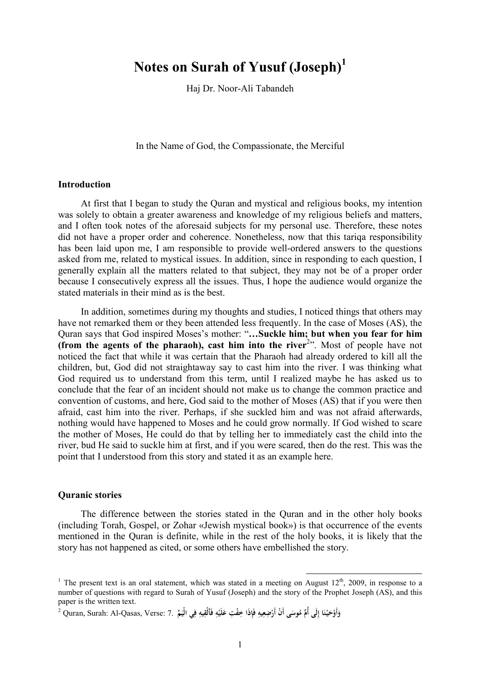# **Notes on Surah of Yusuf (Joseph)<sup>1</sup>**

Haj Dr. Noor-Ali Tabandeh

In the Name of God, the Compassionate, the Merciful

## **Introduction**

At first that I began to study the Quran and mystical and religious books, my intention was solely to obtain a greater awareness and knowledge of my religious beliefs and matters, and I often took notes of the aforesaid subjects for my personal use. Therefore, these notes did not have a proper order and coherence. Nonetheless, now that this tariqa responsibility has been laid upon me, I am responsible to provide well-ordered answers to the questions asked from me, related to mystical issues. In addition, since in responding to each question, I generally explain all the matters related to that subject, they may not be of a proper order because I consecutively express all the issues. Thus, I hope the audience would organize the stated materials in their mind as is the best.

In addition, sometimes during my thoughts and studies, I noticed things that others may have not remarked them or they been attended less frequently. In the case of Moses (AS), the Quran says that God inspired Moses's mother: "**…Suckle him; but when you fear for him (from the agents of the pharaoh), cast him into the river**<sup>2</sup> ". Most of people have not noticed the fact that while it was certain that the Pharaoh had already ordered to kill all the children, but, God did not straightaway say to cast him into the river. I was thinking what God required us to understand from this term, until I realized maybe he has asked us to conclude that the fear of an incident should not make us to change the common practice and convention of customs, and here, God said to the mother of Moses (AS) that if you were then afraid, cast him into the river. Perhaps, if she suckled him and was not afraid afterwards, nothing would have happened to Moses and he could grow normally. If God wished to scare the mother of Moses, He could do that by telling her to immediately cast the child into the river, bud He said to suckle him at first, and if you were scared, then do the rest. This was the point that I understood from this story and stated it as an example here.

#### **Quranic stories**

The difference between the stories stated in the Quran and in the other holy books (including Torah, Gospel, or Zohar «Jewish mystical book») is that occurrence of the events mentioned in the Quran is definite, while in the rest of the holy books, it is likely that the story has not happened as cited, or some others have embellished the story.

<sup>&</sup>lt;sup>1</sup> The present text is an oral statement, which was stated in a meeting on August  $12^{th}$ , 2009, in response to a number of questions with regard to Surah of Yusuf (Joseph) and the story of the Prophet Joseph (AS), and this paper is the written text.

وَأَوْحَيْنَا إِلَى أُمِّ مُوسَى أَنْ أَرْضِعِيهِ فَإِذَا خِفْتِ عَلَيْهِ فَأَلْقِيهِ فِي الْيَمِّ .Quran, Surah: Al-Qasas, Verse: 7. أ **َ ْ َ َ ِ َ ِ ْ ِ ْ َ ِ ِ**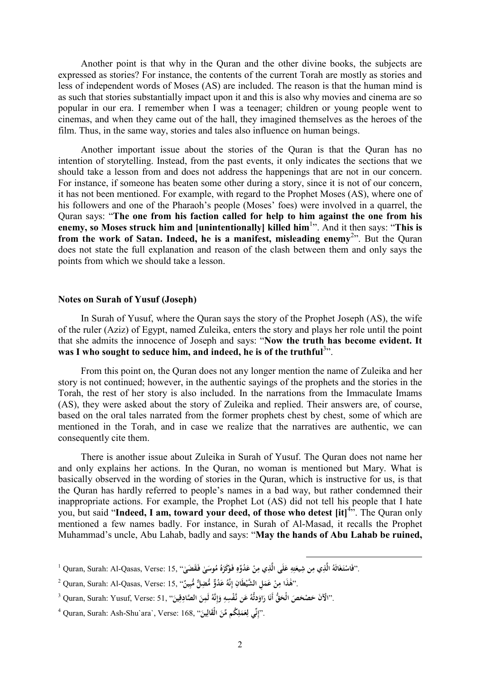Another point is that why in the Quran and the other divine books, the subjects are expressed as stories? For instance, the contents of the current Torah are mostly as stories and less of independent words of Moses (AS) are included. The reason is that the human mind is as such that stories substantially impact upon it and this is also why movies and cinema are so popular in our era. I remember when I was a teenager; children or young people went to cinemas, and when they came out of the hall, they imagined themselves as the heroes of the film. Thus, in the same way, stories and tales also influence on human beings.

Another important issue about the stories of the Quran is that the Quran has no intention of storytelling. Instead, from the past events, it only indicates the sections that we should take a lesson from and does not address the happenings that are not in our concern. For instance, if someone has beaten some other during a story, since it is not of our concern, it has not been mentioned. For example, with regard to the Prophet Moses (AS), where one of his followers and one of the Pharaoh's people (Moses' foes) were involved in a quarrel, the Quran says: "**The one from his faction called for help to him against the one from his enemy, so Moses struck him and [unintentionally] killed him**<sup>1</sup> ". And it then says: "**This is from the work of Satan. Indeed, he is a manifest, misleading enemy**<sup>2</sup> ". But the Quran does not state the full explanation and reason of the clash between them and only says the points from which we should take a lesson.

#### **Notes on Surah of Yusuf (Joseph)**

In Surah of Yusuf, where the Quran says the story of the Prophet Joseph (AS), the wife of the ruler (Aziz) of Egypt, named Zuleika, enters the story and plays her role until the point that she admits the innocence of Joseph and says: "**Now the truth has become evident. It was I who sought to seduce him, and indeed, he is of the truthful**<sup>3</sup> ".

From this point on, the Quran does not any longer mention the name of Zuleika and her story is not continued; however, in the authentic sayings of the prophets and the stories in the Torah, the rest of her story is also included. In the narrations from the Immaculate Imams (AS), they were asked about the story of Zuleika and replied. Their answers are, of course, based on the oral tales narrated from the former prophets chest by chest, some of which are mentioned in the Torah, and in case we realize that the narratives are authentic, we can consequently cite them.

There is another issue about Zuleika in Surah of Yusuf. The Quran does not name her and only explains her actions. In the Quran, no woman is mentioned but Mary. What is basically observed in the wording of stories in the Quran, which is instructive for us, is that the Quran has hardly referred to people's names in a bad way, but rather condemned their inappropriate actions. For example, the Prophet Lot (AS) did not tell his people that I hate you, but said "**Indeed, I am, toward your deed, of those who detest [it]**<sup>4</sup> ". The Quran only mentioned a few names badly. For instance, in Surah of Al-Masad, it recalls the Prophet Muhammad's uncle, Abu Lahab, badly and says: "**May the hands of Abu Lahab be ruined,** 

 $\overline{a}$ 

 $^2$  Quran, Surah: Al-Qasas, Verse: خَلْدًا مِنْ عَمَلِ الشَّيْطَانِ إِنَّهُ عَدُوٌّ مُّضِلٌّ مُّبِينٌ'' . $\cdot$ **َ ِ ٰ َ**

 $^1$  Quran, Surah: Al-Qasas, Verse:  $15,$  ''فَاسْتَغَاثَهُ الَّذِي مِنْ عَلَى الَّذِي مِنْ عَدُوِّهِ فَوَكَرَهُ مُوسَىٰ فَقَضَىٰ'''. **َ َ ِ ِ َ ِ ِ َ ِ َ َ ْ**

 $^3$  Quran, Surah: Yusuf, Verse: 51, فَإِنَّهُ لَمِنَ الصَّادِقِينَ'' , Quran, Surah: Yusuf, Verse: 51 فَأَنَا رَاوَدتُّهُ عَن نَّفْسِهِ وَإِنَّهُ لَمِنَ الصَّادِقِينَ'' , **َ َ ِ إ َ ِ َ َ** .<br>أ **َ**

<sup>4</sup> Quran, Surah: Ash-Shu`ara`, Verse: 168, " **نِّ ِين َقال الْ ُكم ِّمن ل َم ع** ." **ي لِ إ َ َ ِ َ ِ**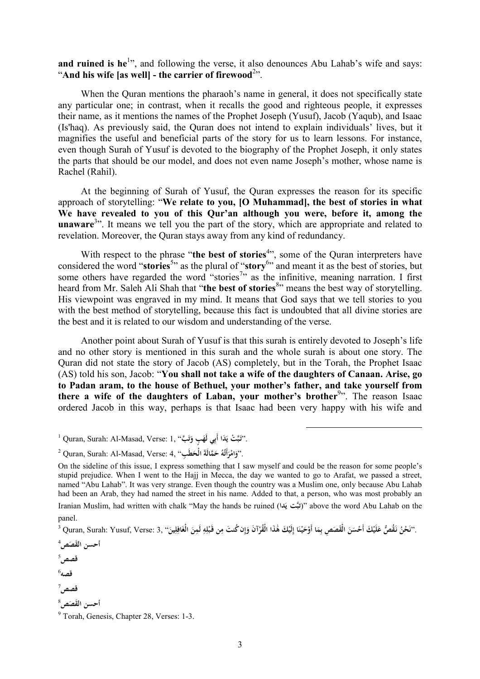and ruined is he<sup>1</sup><sup>2</sup>, and following the verse, it also denounces Abu Lahab's wife and says: "**And his wife [as well] - the carrier of firewood**<sup>2</sup> ".

When the Quran mentions the pharaoh's name in general, it does not specifically state any particular one; in contrast, when it recalls the good and righteous people, it expresses their name, as it mentions the names of the Prophet Joseph (Yusuf), Jacob (Yaqub), and Isaac (Is'haq). As previously said, the Quran does not intend to explain individuals' lives, but it magnifies the useful and beneficial parts of the story for us to learn lessons. For instance, even though Surah of Yusuf is devoted to the biography of the Prophet Joseph, it only states the parts that should be our model, and does not even name Joseph's mother, whose name is Rachel (Rahil).

At the beginning of Surah of Yusuf, the Quran expresses the reason for its specific approach of storytelling: "**We relate to you, [O Muhammad], the best of stories in what We have revealed to you of this Qur'an although you were, before it, among the**  unaware<sup>3</sup><sup>33</sup>. It means we tell you the part of the story, which are appropriate and related to revelation. Moreover, the Quran stays away from any kind of redundancy.

With respect to the phrase "the best of stories<sup>4</sup>", some of the Quran interpreters have considered the word "**stories**<sup>5</sup> " as the plural of "**story**<sup>6</sup> " and meant it as the best of stories, but some others have regarded the word "stories<sup>7</sup>" as the infinitive, meaning narration. I first heard from Mr. Saleh Ali Shah that "the best of stories<sup>8</sup>" means the best way of storytelling. His viewpoint was engraved in my mind. It means that God says that we tell stories to you with the best method of storytelling, because this fact is undoubted that all divine stories are the best and it is related to our wisdom and understanding of the verse.

Another point about Surah of Yusuf is that this surah is entirely devoted to Joseph's life and no other story is mentioned in this surah and the whole surah is about one story. The Quran did not state the story of Jacob (AS) completely, but in the Torah, the Prophet Isaac (AS) told his son, Jacob: "**You shall not take a wife of the daughters of Canaan. Arise, go to Padan aram, to the house of Bethuel, your mother's father, and take yourself from there a wife of the daughters of Laban, your mother's brother**<sup>9</sup> ". The reason Isaac ordered Jacob in this way, perhaps is that Isaac had been very happy with his wife and

 $\overline{a}$ 

 $^1$  Quran, Surah: Al-Masad, Verse: 1, ''وَتَبَّتْ يَدَا أَبِي لَهَبٍ وَتَبَّ **ت َ َ َ**

 $^3$  Quran, Surah: Yusuf, Verse: 3, فَلَمَا الْقُرْآنَ وَإِن كُنتَ مِن قَبْلِهِ لَمِنَ الْغَافِلِينَ". [3] Quran, Surah: Yusuf, Verse: 3, فَتُوْمَّ **َ ِ ِ ْ ِ إ َ ْ ٰ َ ِ َ ْ َ َ َ َ ن َ ِ**

**َصص**<sup>4</sup> **أحسن َ الق**

**قصص**<sup>5</sup>

6 **قصه**

**قصص**<sup>7</sup>

**َصص**<sup>8</sup> **َق أحسن ال**

<sup>2</sup> Quran, Surah: Al-Masad, Verse: 4, "**بِ َطَ َّمالَةَ الْح ُ ح ُه أَت ْر ام** ."**و َ َ َ**

On the sideline of this issue, I express something that I saw myself and could be the reason for some people's stupid prejudice. When I went to the Hajj in Mecca, the day we wanted to go to Arafat, we passed a street, named "Abu Lahab". It was very strange. Even though the country was a Muslim one, only because Abu Lahab had been an Arab, they had named the street in his name. Added to that, a person, who was most probably an Iranian Muslim, had written with chalk "May the hands be ruined (**داَ ي تبَّت** "(above the word Abu Lahab on the panel.

<sup>&</sup>lt;sup>9</sup> Torah, Genesis, Chapter 28, Verses: 1-3.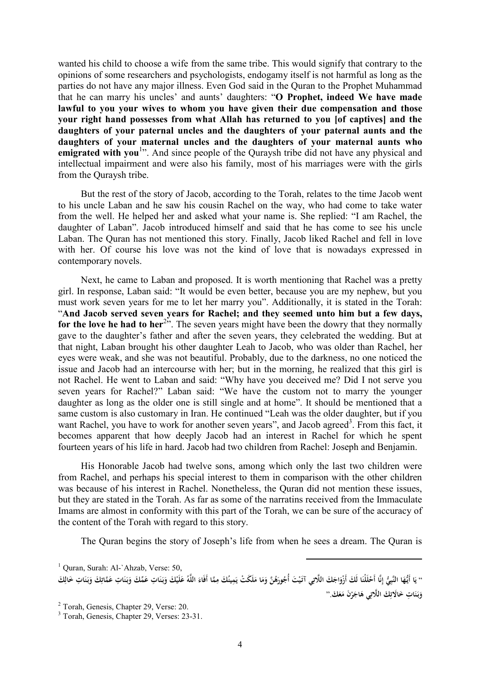wanted his child to choose a wife from the same tribe. This would signify that contrary to the opinions of some researchers and psychologists, endogamy itself is not harmful as long as the parties do not have any major illness. Even God said in the Quran to the Prophet Muhammad that he can marry his uncles' and aunts' daughters: "**O Prophet, indeed We have made lawful to you your wives to whom you have given their due compensation and those your right hand possesses from what Allah has returned to you [of captives] and the daughters of your paternal uncles and the daughters of your paternal aunts and the daughters of your maternal uncles and the daughters of your maternal aunts who**  emigrated with you<sup>1</sup><sup>2</sup>. And since people of the Quraysh tribe did not have any physical and intellectual impairment and were also his family, most of his marriages were with the girls from the Quraysh tribe.

But the rest of the story of Jacob, according to the Torah, relates to the time Jacob went to his uncle Laban and he saw his cousin Rachel on the way, who had come to take water from the well. He helped her and asked what your name is. She replied: "I am Rachel, the daughter of Laban". Jacob introduced himself and said that he has come to see his uncle Laban. The Quran has not mentioned this story. Finally, Jacob liked Rachel and fell in love with her. Of course his love was not the kind of love that is nowadays expressed in contemporary novels.

Next, he came to Laban and proposed. It is worth mentioning that Rachel was a pretty girl. In response, Laban said: "It would be even better, because you are my nephew, but you must work seven years for me to let her marry you". Additionally, it is stated in the Torah: "**And Jacob served seven years for Rachel; and they seemed unto him but a few days, for the love he had to her**<sup>2</sup> ". The seven years might have been the dowry that they normally gave to the daughter's father and after the seven years, they celebrated the wedding. But at that night, Laban brought his other daughter Leah to Jacob, who was older than Rachel, her eyes were weak, and she was not beautiful. Probably, due to the darkness, no one noticed the issue and Jacob had an intercourse with her; but in the morning, he realized that this girl is not Rachel. He went to Laban and said: "Why have you deceived me? Did I not serve you seven years for Rachel?" Laban said: "We have the custom not to marry the younger daughter as long as the older one is still single and at home". It should be mentioned that a same custom is also customary in Iran. He continued "Leah was the older daughter, but if you want Rachel, you have to work for another seven years", and Jacob agreed<sup>3</sup>. From this fact, it becomes apparent that how deeply Jacob had an interest in Rachel for which he spent fourteen years of his life in hard. Jacob had two children from Rachel: Joseph and Benjamin.

His Honorable Jacob had twelve sons, among which only the last two children were from Rachel, and perhaps his special interest to them in comparison with the other children was because of his interest in Rachel. Nonetheless, the Quran did not mention these issues, but they are stated in the Torah. As far as some of the narratins received from the Immaculate Imams are almost in conformity with this part of the Torah, we can be sure of the accuracy of the content of the Torah with regard to this story.

The Quran begins the story of Joseph's life from when he sees a dream. The Quran is

 $\overline{a}$ 

**َ ْ َ َ** **َ**

<sup>&</sup>lt;sup>1</sup> Ouran, Surah: Al-`Ahzab, Verse: 50, '' يَا أَيُّهَا النَّبِيُّ إِنَّا أَحْلَلْنَا لَكَ أَزْوَاجَكَ اللَّاتِي آتَيْتَ أُجُورَهُنَّ وَمَا مَلَكَتْ يَمِينُكَ مِمَّا أَفَاءَ اللَّهُ عَلَيْكَ وَبَنَاتِ عَمَّكَ وَبَنَاتِ عَمَّاتِكَ وَبَنَاتِ خَالِكَ **ِ َ َ َ َ َ َ َ ْ ِ ِ َ َ ي َ َ َ َ َ َ ِ َ َ َ ِ َ َ َ** وَبَنَاتِ خَالَاتِكَ اللَّاتِي هَاجَرْنَ مَعَكَ.'' **ِ َ**

<sup>&</sup>lt;sup>2</sup> Torah, Genesis, Chapter 29, Verse: 20.

<sup>3</sup> Torah, Genesis, Chapter 29, Verses: 23-31.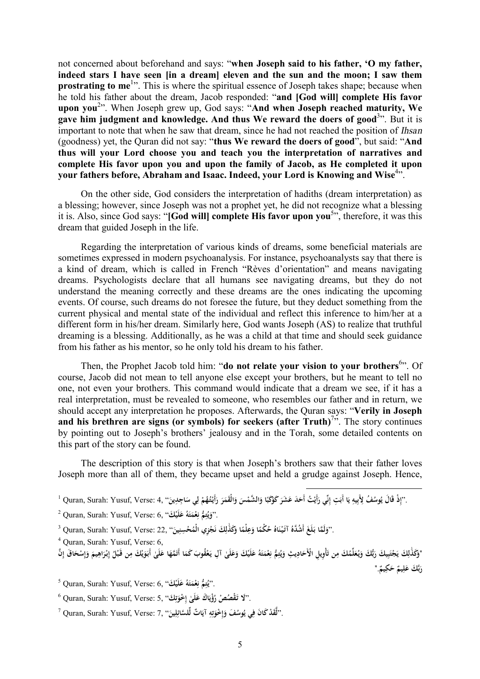not concerned about beforehand and says: "**when Joseph said to his father, 'O my father, indeed stars I have seen [in a dream] eleven and the sun and the moon; I saw them prostrating to me<sup>1</sup>**. This is where the spiritual essence of Joseph takes shape; because when he told his father about the dream, Jacob responded: "**and [God will] complete His favor upon you**<sup>2</sup> ". When Joseph grew up, God says: "**And when Joseph reached maturity, We gave him judgment and knowledge. And thus We reward the doers of good**<sup>3</sup> ". But it is important to note that when he saw that dream, since he had not reached the position of *Ihsan* (goodness) yet, the Quran did not say: "**thus We reward the doers of good**", but said: "**And thus will your Lord choose you and teach you the interpretation of narratives and complete His favor upon you and upon the family of Jacob, as He completed it upon your fathers before, Abraham and Isaac. Indeed, your Lord is Knowing and Wise**<sup>4</sup> ".

On the other side, God considers the interpretation of hadiths (dream interpretation) as a blessing; however, since Joseph was not a prophet yet, he did not recognize what a blessing it is. Also, since God says: "**[God will] complete His favor upon you**<sup>5</sup> ", therefore, it was this dream that guided Joseph in the life.

Regarding the interpretation of various kinds of dreams, some beneficial materials are sometimes expressed in modern psychoanalysis. For instance, psychoanalysts say that there is a kind of dream, which is called in French "Rèves d'orientation" and means navigating dreams. Psychologists declare that all humans see navigating dreams, but they do not understand the meaning correctly and these dreams are the ones indicating the upcoming events. Of course, such dreams do not foresee the future, but they deduct something from the current physical and mental state of the individual and reflect this inference to him/her at a different form in his/her dream. Similarly here, God wants Joseph (AS) to realize that truthful dreaming is a blessing. Additionally, as he was a child at that time and should seek guidance from his father as his mentor, so he only told his dream to his father.

Then, the Prophet Jacob told him: "**do not relate your vision to your brothers**<sup>6</sup> ". Of course, Jacob did not mean to tell anyone else except your brothers, but he meant to tell no one, not even your brothers. This command would indicate that a dream we see, if it has a real interpretation, must be revealed to someone, who resembles our father and in return, we should accept any interpretation he proposes. Afterwards, the Quran says: "**Verily in Joseph and his brethren are signs (or symbols) for seekers (after Truth)**<sup>7</sup> ". The story continues by pointing out to Joseph's brothers' jealousy and in the Torah, some detailed contents on this part of the story can be found.

The description of this story is that when Joseph's brothers saw that their father loves Joseph more than all of them, they became upset and held a grudge against Joseph. Hence,

 $\overline{a}$ 

<sup>2</sup> Quran, Surah: Yusuf, Verse: 6, "**كَ ْ لَي ُ ع ه ت ْم ع ُّم ن ت ُ** ."**و َ َ َ ِ ِ ي َ**

''وَلَمَّا بَلَغَ أَشُدَّهُ آتَيْنَاهُ حُكْمًا وَعِلْمًا وَكَذٰلِكَ نَجْزِي الْمُحْسِنِينَ'' ,Quran, Surah: Yusuf, Verse: 22<br>. **ً َ ً َ ْ َ َ َ َ ِ ن َ**

<sup>4</sup> Quran, Surah: Yusuf, Verse: 6,

"وَكَذُلِكَ يَجْتَبِيكَ رَبُّكَ وَيُعَلِّمُكَ مِن تَأْوِيلِ الْأَحَادِيثِ وَيُتِمُّ نِعْمَتَهُ عَلَيْكَ وَعَلَىٰ آلِ يَعْقُوبَ كَمَا أَتَمَّهَا عَلَىٰ أَبَوَيْكَ مِن قَبْلُ إِبْرَاهِيمَ وَإِسْحَاقَ إِنَّ **َ َ َ َ َ َ ِ ِ ي َ َ َ ِ َ َ َ َ ِ َ ِ ل َ إ َ َ ِ َ إ ِ ي َ َ َ َ َ َ رَبَّكَ عَلِيمٌ حَكِيمٌ**." **ِ َ َ**

 $^5$  Quran, Surah: Yusuf, Verse: 6, **"كَيْتُمْ نِعْمَتَهُ عَلَيْك**ْ)". **َ َ َ ِ ِ**

 $\bullet$  Quran, Surah: Yusuf, Verse: 5, ''كَـُّـهُـّـهُـّـشُ رُؤْيَاكُ عَلَىٰ إِخْوَتِكْ $\bullet$  5, ''كَـُمْـ **ِ ت َ ِ َ َ**

 $^7$  Quran, Surah: Yusuf, Verse: 7, ''لَّقَدْ كَانَ فِي يُوسُفَ وَإِخْوَتِهِ آيَاتٌ لِّلسَّائِلِينَ'' ، **َ ِ ت َ ِ إ َ ِ ل َ ِ**

 $^1$  Quran, Surah: Yusuf, Verse: 4, ''إِذْ قَالَ يُوسُفُ لِأَبِيهِ يَا أَبَتِ إِنِّي رَأَيْتُ أَحَدَ عَشَرَ كَوْكَبًا وَالشَّمْسَ وَالْقَمَرَ رَأَيْتُهُمْ لِي سَاجِدِينَ'' Quran, Surah: Yusuf, Verse: 4, '' **َ ٔ ي ِ ِ إ َ َ ِ ل ْ ْ َ َ َ َ َ َ ً ْ َ َ ِ**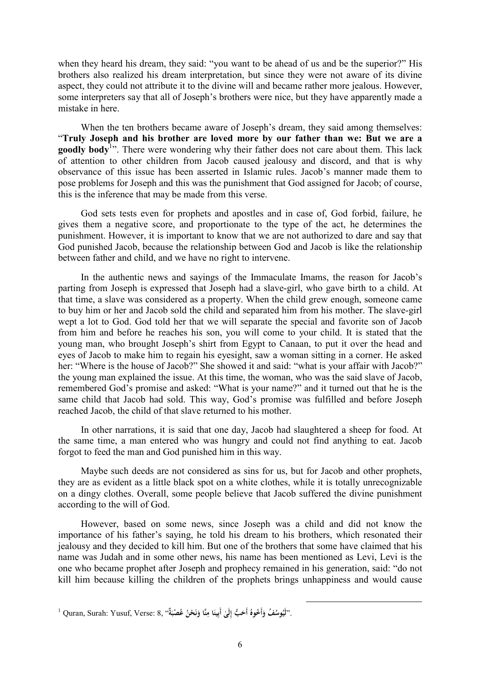when they heard his dream, they said: "you want to be ahead of us and be the superior?" His brothers also realized his dream interpretation, but since they were not aware of its divine aspect, they could not attribute it to the divine will and became rather more jealous. However, some interpreters say that all of Joseph's brothers were nice, but they have apparently made a mistake in here.

When the ten brothers became aware of Joseph's dream, they said among themselves: "**Truly Joseph and his brother are loved more by our father than we: But we are a**  goodly body<sup>1</sup>". There were wondering why their father does not care about them. This lack of attention to other children from Jacob caused jealousy and discord, and that is why observance of this issue has been asserted in Islamic rules. Jacob's manner made them to pose problems for Joseph and this was the punishment that God assigned for Jacob; of course, this is the inference that may be made from this verse.

God sets tests even for prophets and apostles and in case of, God forbid, failure, he gives them a negative score, and proportionate to the type of the act, he determines the punishment. However, it is important to know that we are not authorized to dare and say that God punished Jacob, because the relationship between God and Jacob is like the relationship between father and child, and we have no right to intervene.

In the authentic news and sayings of the Immaculate Imams, the reason for Jacob's parting from Joseph is expressed that Joseph had a slave-girl, who gave birth to a child. At that time, a slave was considered as a property. When the child grew enough, someone came to buy him or her and Jacob sold the child and separated him from his mother. The slave-girl wept a lot to God. God told her that we will separate the special and favorite son of Jacob from him and before he reaches his son, you will come to your child. It is stated that the young man, who brought Joseph's shirt from Egypt to Canaan, to put it over the head and eyes of Jacob to make him to regain his eyesight, saw a woman sitting in a corner. He asked her: "Where is the house of Jacob?" She showed it and said: "what is your affair with Jacob?" the young man explained the issue. At this time, the woman, who was the said slave of Jacob, remembered God's promise and asked: "What is your name?" and it turned out that he is the same child that Jacob had sold. This way, God's promise was fulfilled and before Joseph reached Jacob, the child of that slave returned to his mother.

In other narrations, it is said that one day, Jacob had slaughtered a sheep for food. At the same time, a man entered who was hungry and could not find anything to eat. Jacob forgot to feed the man and God punished him in this way.

Maybe such deeds are not considered as sins for us, but for Jacob and other prophets, they are as evident as a little black spot on a white clothes, while it is totally unrecognizable on a dingy clothes. Overall, some people believe that Jacob suffered the divine punishment according to the will of God.

However, based on some news, since Joseph was a child and did not know the importance of his father's saying, he told his dream to his brothers, which resonated their jealousy and they decided to kill him. But one of the brothers that some have claimed that his name was Judah and in some other news, his name has been mentioned as Levi, Levi is the one who became prophet after Joseph and prophecy remained in his generation, said: "do not kill him because killing the children of the prophets brings unhappiness and would cause

l

 $^1$  Quran, Surah: Yusuf, Verse: 8, ''أَلَيُوسُفُ وَأَخُوهُ أَحَبُّ إِلَىٰ أَبِينَا مِنَّا وَنَحْنُ عُصْبَةٌ''. **َ ن َ َ ِ َ َ**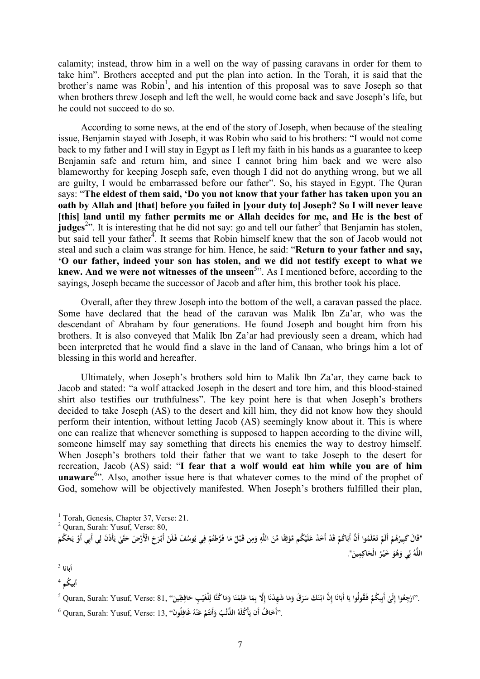calamity; instead, throw him in a well on the way of passing caravans in order for them to take him". Brothers accepted and put the plan into action. In the Torah, it is said that the brother's name was Robin<sup>1</sup>, and his intention of this proposal was to save Joseph so that when brothers threw Joseph and left the well, he would come back and save Joseph's life, but he could not succeed to do so.

According to some news, at the end of the story of Joseph, when because of the stealing issue, Benjamin stayed with Joseph, it was Robin who said to his brothers: "I would not come back to my father and I will stay in Egypt as I left my faith in his hands as a guarantee to keep Benjamin safe and return him, and since I cannot bring him back and we were also blameworthy for keeping Joseph safe, even though I did not do anything wrong, but we all are guilty, I would be embarrassed before our father". So, his stayed in Egypt. The Quran says: "**The eldest of them said, 'Do you not know that your father has taken upon you an oath by Allah and [that] before you failed in [your duty to] Joseph? So I will never leave [this] land until my father permits me or Allah decides for me, and He is the best of**  judges<sup>2</sup><sup>22</sup>. It is interesting that he did not say: go and tell our father<sup>3</sup> that Benjamin has stolen, but said tell your father<sup> $4$ </sup>. It seems that Robin himself knew that the son of Jacob would not steal and such a claim was strange for him. Hence, he said: "**Return to your father and say, 'O our father, indeed your son has stolen, and we did not testify except to what we knew. And we were not witnesses of the unseen**<sup>5</sup> ". As I mentioned before, according to the sayings, Joseph became the successor of Jacob and after him, this brother took his place.

Overall, after they threw Joseph into the bottom of the well, a caravan passed the place. Some have declared that the head of the caravan was Malik Ibn Za'ar, who was the descendant of Abraham by four generations. He found Joseph and bought him from his brothers. It is also conveyed that Malik Ibn Za'ar had previously seen a dream, which had been interpreted that he would find a slave in the land of Canaan, who brings him a lot of blessing in this world and hereafter.

Ultimately, when Joseph's brothers sold him to Malik Ibn Za'ar, they came back to Jacob and stated: "a wolf attacked Joseph in the desert and tore him, and this blood-stained shirt also testifies our truthfulness". The key point here is that when Joseph's brothers decided to take Joseph (AS) to the desert and kill him, they did not know how they should perform their intention, without letting Jacob (AS) seemingly know about it. This is where one can realize that whenever something is supposed to happen according to the divine will, someone himself may say something that directs his enemies the way to destroy himself. When Joseph's brothers told their father that we want to take Joseph to the desert for recreation, Jacob (AS) said: "**I fear that a wolf would eat him while you are of him**  unaware<sup>6</sup><sup>55</sup>. Also, another issue here is that whatever comes to the mind of the prophet of God, somehow will be objectively manifested. When Joseph's brothers fulfilled their plan,

"قَالَ كَبِيرُهُمْ أَلَمْ تَعْلَمُوا أَنَّ أَبَاكُمْ قَدْ أَخَذَ عَلَيْكُم مَّوْثِقًا مِّنَ اللَّهِ وَمِن قَبْلُ مَا فَرَّطتُمْ فِي يُوسُفَ فَلَنْ أَبْرَحَ الْأَرْضَ حَتَّىٰ يَأْذَنَ لِي أَبِي أَوْ يَحْكُمَ **ْ ُ ْ ْ ْ ِ ْ َ ِ َ ِ َ ِ ث ْ ْ َ ْ َ َ ِ ْ َ ي** اللَّهُ لِي وَهُوَ خَيْرُ الْحَاكِمِينَ". **ل َ َ َ**

 $\overline{a}$ 

3 **َبانا ا**

4 **أبي ُکم**

`'ارْجِعُوا إِلَىٰ أَبِيكُمْ فَقُولُوا يَا أَبَانَا إِنَّ ابْنَكَ سَرَقَ وَمَا شَهِدْنَا إِلَّا بِمَا عَلِمْنَا وَمَا كُنَّا لِلْغَيْبِ حَافِظِينَ'' ,Quran, Surah: Yusuf, Verse: 81 وَمَا كُنَّا لِلْغَيْبِ حَافِظِينَ'' ,Qu **ْ َ ِ َ َ َ ْ ِ َ َ َ َ َ َ َ ْ** .<br>. **َ ٔ ْ ِ ِ َ ِ َ**

 $^6$  Quran, Surah: Yusuf, Verse: 13, فَافِلُونَ'' ,21 Quran, Surah: Yusuf, Verse:  $13,$  فَافِلُونَ'' ، **ِ َ ْ َ ْ َ**

<sup>&</sup>lt;sup>1</sup> Torah, Genesis, Chapter 37, Verse: 21.

<sup>2</sup> Quran, Surah: Yusuf, Verse: 80,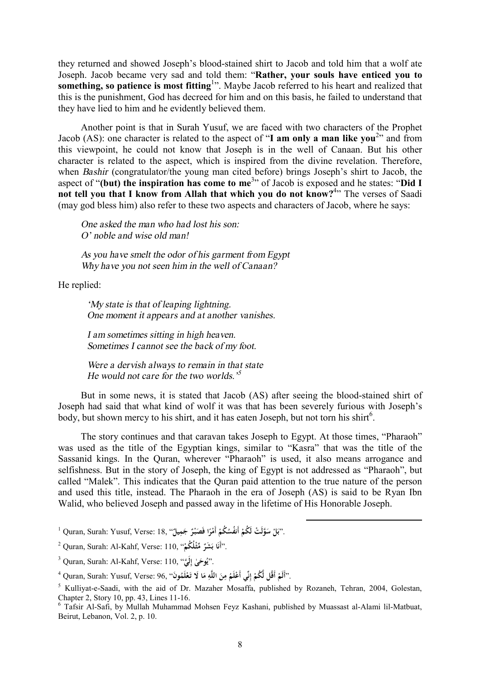they returned and showed Joseph's blood-stained shirt to Jacob and told him that a wolf ate Joseph. Jacob became very sad and told them: "**Rather, your souls have enticed you to something, so patience is most fitting**<sup>1</sup> ". Maybe Jacob referred to his heart and realized that this is the punishment, God has decreed for him and on this basis, he failed to understand that they have lied to him and he evidently believed them.

Another point is that in Surah Yusuf, we are faced with two characters of the Prophet Jacob (AS): one character is related to the aspect of "**I am only a man like you**<sup>2</sup> " and from this viewpoint, he could not know that Joseph is in the well of Canaan. But his other character is related to the aspect, which is inspired from the divine revelation. Therefore, when *Bashir* (congratulator/the young man cited before) brings Joseph's shirt to Jacob, the aspect of "**(but) the inspiration has come to me**<sup>3</sup> " of Jacob is exposed and he states: "**Did I not tell you that I know from Allah that which you do not know?**<sup>4</sup> " The verses of Saadi (may god bless him) also refer to these two aspects and characters of Jacob, where he says:

*One asked the man who had lost his son: O' noble and wise old man!* 

*As you have smelt the odor of his garment from Egypt Why have you not seen him in the well of Canaan?* 

He replied:

*'My state is that of leaping lightning. One moment it appears and at another vanishes.* 

*I am sometimes sitting in high heaven. Sometimes I cannot see the back of my foot.* 

*Were a dervish always to remain in that state He would not care for the two worlds.' 5*

But in some news, it is stated that Jacob (AS) after seeing the blood-stained shirt of Joseph had said that what kind of wolf it was that has been severely furious with Joseph's body, but shown mercy to his shirt, and it has eaten Joseph, but not torn his shirt $6$ .

The story continues and that caravan takes Joseph to Egypt. At those times, "Pharaoh" was used as the title of the Egyptian kings, similar to "Kasra" that was the title of the Sassanid kings. In the Quran, wherever "Pharaoh" is used, it also means arrogance and selfishness. But in the story of Joseph, the king of Egypt is not addressed as "Pharaoh", but called "Malek". This indicates that the Quran paid attention to the true nature of the person and used this title, instead. The Pharaoh in the era of Joseph (AS) is said to be Ryan Ibn Walid, who believed Joseph and passed away in the lifetime of His Honorable Joseph.

l

 $^1$  Quran, Surah: Yusuf, Verse:  $18,$  ''جَلْ شَكُمْ أَمْرًا فَصَبْرٌ جَمِيلٌ''. [18] "Quran, Surah: Yusuf, Verse:  $18,$ **ً ْ ْ َ ب**

<sup>2</sup> Quran, Surah: Al-Kahf, Verse: 110, " **ا أَن ْلُ ُكم ِّمثـ ٌ َ َشر** ." **ب ُ ْ**

<sup>3</sup> Quran, Surah: Al-Kahf, Verse: 110, "**َّي لَ َ ٰى إ وح ُ** ."**ي ِ**

<sup>14</sup>أَلَمْ أَقُل لَّكُمْ إِنِّي أَعْلَمُ مِنَ اللَّهِ مَا لَا تَعْلَمُونَ<sup>،</sup> ,Quran, Surah: Yusuf, Verse: 96 كَمَّا<br>-**إ ْ ْ ْ َ ِ َ ِ**

<sup>5</sup> Kulliyat-e-Saadi, with the aid of Dr. Mazaher Mosaffa, published by Rozaneh, Tehran, 2004, Golestan, Chapter 2, Story 10, pp. 43, Lines 11-16.

<sup>6</sup> Tafsir Al-Safi, by Mullah Muhammad Mohsen Feyz Kashani, published by Muassast al-Alami lil-Matbuat, Beirut, Lebanon, Vol. 2, p. 10.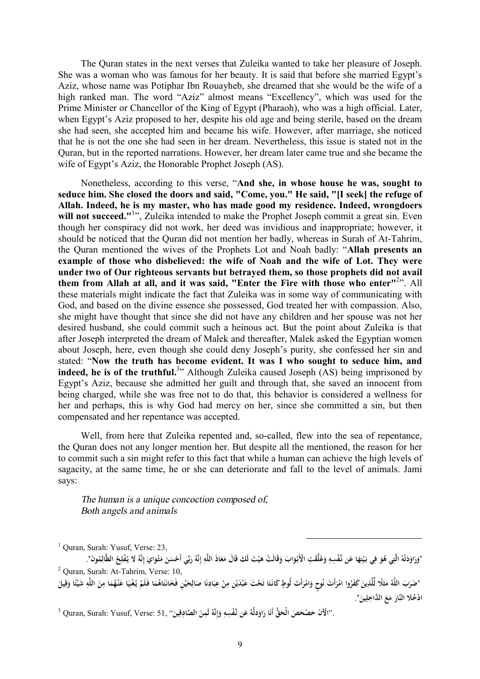The Quran states in the next verses that Zuleika wanted to take her pleasure of Joseph. She was a woman who was famous for her beauty. It is said that before she married Egypt's Aziz, whose name was Potiphar Ibn Rouayheb, she dreamed that she would be the wife of a high ranked man. The word "Aziz" almost means "Excellency", which was used for the Prime Minister or Chancellor of the King of Egypt (Pharaoh), who was a high official. Later, when Egypt's Aziz proposed to her, despite his old age and being sterile, based on the dream she had seen, she accepted him and became his wife. However, after marriage, she noticed that he is not the one she had seen in her dream. Nevertheless, this issue is stated not in the Quran, but in the reported narrations. However, her dream later came true and she became the wife of Egypt's Aziz, the Honorable Prophet Joseph (AS).

Nonetheless, according to this verse, "**And she, in whose house he was, sought to seduce him. She closed the doors and said, "Come, you." He said, "[I seek] the refuge of Allah. Indeed, he is my master, who has made good my residence. Indeed, wrongdoers**  will not succeed."<sup>1</sup>", Zuleika intended to make the Prophet Joseph commit a great sin. Even though her conspiracy did not work, her deed was invidious and inappropriate; however, it should be noticed that the Quran did not mention her badly, whereas in Surah of At-Tahrim, the Quran mentioned the wives of the Prophets Lot and Noah badly: "**Allah presents an example of those who disbelieved: the wife of Noah and the wife of Lot. They were under two of Our righteous servants but betrayed them, so those prophets did not avail them from Allah at all, and it was said, "Enter the Fire with those who enter"**<sup>2</sup> ". All these materials might indicate the fact that Zuleika was in some way of communicating with God, and based on the divine essence she possessed, God treated her with compassion. Also, she might have thought that since she did not have any children and her spouse was not her desired husband, she could commit such a heinous act. But the point about Zuleika is that after Joseph interpreted the dream of Malek and thereafter, Malek asked the Egyptian women about Joseph, here, even though she could deny Joseph's purity, she confessed her sin and stated: "**Now the truth has become evident. It was I who sought to seduce him, and indeed, he is of the truthful.**<sup>3</sup> " Although Zuleika caused Joseph (AS) being imprisoned by Egypt's Aziz, because she admitted her guilt and through that, she saved an innocent from being charged, while she was free not to do that, this behavior is considered a wellness for her and perhaps, this is why God had mercy on her, since she committed a sin, but then compensated and her repentance was accepted.

Well, from here that Zuleika repented and, so-called, flew into the sea of repentance, the Quran does not any longer mention her. But despite all the mentioned, the reason for her to commit such a sin might refer to this fact that while a human can achieve the high levels of sagacity, at the same time, he or she can deteriorate and fall to the level of animals. Jami says:

*The human is a unique concoction composed of, Both angels and animals* 

 $<sup>1</sup>$  Ouran, Surah: Yusuf, Verse: 23,</sup>

"وَرَاوَدَتْهُ الَّتِي هُوَ فِي بَيْتِهَا عَن نَّفْسِهِ وَغَلَّقَتِ الْأَبْوَابَ وَقَالَتْ هَيْتَ لَكَ قَالَ مَعَاذَ اللَّهِ إِنَّهُ رَبِّي أَحْسَنَ مَثْوَايَ إِنَّهُ لَا يُفْلِحُ الظَّالِمُونَ". **َ َ َ ِ َ ِ ْ َ ِ َ ِ ت َ َ َ َ َ ِ َ َ َ َ َ َ ِ ِ ِ** <sup>2</sup> Quran, Surah: At-Tahrim, Verse: 10,

l

"ضَرَبَ اللَّهُ مَثَلًا لِّلَّذِينَ كَفَرُوا امْرَأَتَ نُوحٍ وَامْرَأَتَ لُوطٍ كَانَتَا تَحْتَ عَبْدَيْنِ مِنْ عِبَادِنَا صَالِحَيْنِ فَخَانَتَاهُمَا فَلَمْ يُغْنِيَا عَنْهُمَا مِنَ اللَّهِ شَيْئًا وَقِيلَ **َ َ َ َ َ َ َ ْ َ ِ ن َ َ ِ َ َ** .<br>. **ْ َ ِ ْ َ َ َ ِ ِ ْ َ َ ً َ** ادْخُلَا النَّارَ مَعَ الدَّاخِلِينَ". **َ َ**

 $^3$  Quran, Surah: Yusuf, Verse: 51, فَيْسِهِ وَإِنَّهُ لَمِنَ الصَّادِقِينَ") (31 Quran, Surah: Yusuf, Verse: "أَلَآنَ حَصْحَصَ الْحَقُّ أَنَا رَاوَدتُّهُ عَن نَّفْسِهِ وَإِنَّهُ لَمِنَ الصَّادِقِينَ **َ َ ِ إ َ ِ َ َ ُ َ**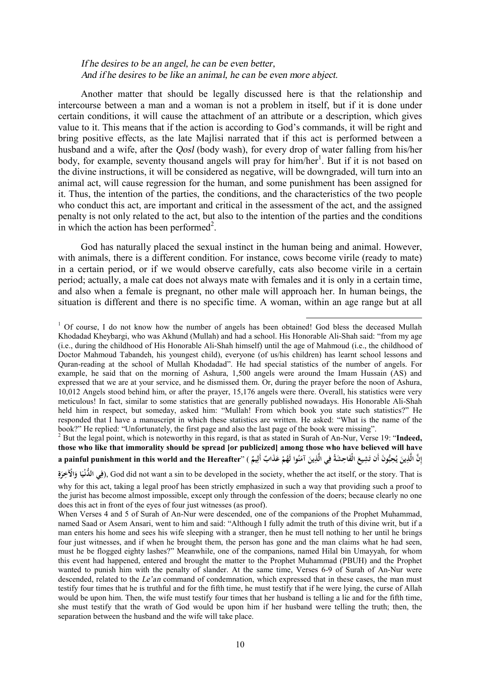### *If he desires to be an angel, he can be even better, And if he desires to be like an animal, he can be even more abject.*

Another matter that should be legally discussed here is that the relationship and intercourse between a man and a woman is not a problem in itself, but if it is done under certain conditions, it will cause the attachment of an attribute or a description, which gives value to it. This means that if the action is according to God's commands, it will be right and bring positive effects, as the late Majlisi narrated that if this act is performed between a husband and a wife, after the *Qosl* (body wash), for every drop of water falling from his/her body, for example, seventy thousand angels will pray for him/her<sup>1</sup>. But if it is not based on the divine instructions, it will be considered as negative, will be downgraded, will turn into an animal act, will cause regression for the human, and some punishment has been assigned for it. Thus, the intention of the parties, the conditions, and the characteristics of the two people who conduct this act, are important and critical in the assessment of the act, and the assigned penalty is not only related to the act, but also to the intention of the parties and the conditions in which the action has been performed<sup>2</sup>.

God has naturally placed the sexual instinct in the human being and animal. However, with animals, there is a different condition. For instance, cows become virile (ready to mate) in a certain period, or if we would observe carefully, cats also become virile in a certain period; actually, a male cat does not always mate with females and it is only in a certain time, and also when a female is pregnant, no other male will approach her. In human beings, the situation is different and there is no specific time. A woman, within an age range but at all

l

<sup>2</sup> But the legal point, which is noteworthy in this regard, is that as stated in Surah of An-Nur, Verse 19: "**Indeed, those who like that immorality should be spread [or publicized] among those who have believed will have**  إِنَّ الَّذِينَ يُحِبُّونَ أَن تَشِيعَ الْفَاحِشَةُ فِي الَّذِينَ آمَنُوا لَهُمْ عَذَابٌ أَلِيمٌ ) ''a painful punishment in this world and the Hereafter **ِ ْ َ َ ِ َ َ ي َ إ**

**ِ** فِي اللَّذْنِيَا وَالْآخِرَةِ), God did not want a sin to be developed in the society, whether the act itself, or the story. That is **َ َ َ ِ**

 $<sup>1</sup>$  Of course, I do not know how the number of angels has been obtained! God bless the deceased Mullah</sup> Khodadad Kheybargi, who was Akhund (Mullah) and had a school. His Honorable Ali-Shah said: "from my age (i.e., during the childhood of His Honorable Ali-Shah himself) until the age of Mahmoud (i.e., the childhood of Doctor Mahmoud Tabandeh, his youngest child), everyone (of us/his children) has learnt school lessons and Quran-reading at the school of Mullah Khodadad". He had special statistics of the number of angels. For example, he said that on the morning of Ashura, 1,500 angels were around the Imam Hussain (AS) and expressed that we are at your service, and he dismissed them. Or, during the prayer before the noon of Ashura, 10,012 Angels stood behind him, or after the prayer, 15,176 angels were there. Overall, his statistics were very meticulous! In fact, similar to some statistics that are generally published nowadays. His Honorable Ali-Shah held him in respect, but someday, asked him: "Mullah! From which book you state such statistics?" He responded that I have a manuscript in which these statistics are written. He asked: "What is the name of the book?" He replied: "Unfortunately, the first page and also the last page of the book were missing".

why for this act, taking a legal proof has been strictly emphasized in such a way that providing such a proof to the jurist has become almost impossible, except only through the confession of the doers; because clearly no one does this act in front of the eyes of four just witnesses (as proof).

When Verses 4 and 5 of Surah of An-Nur were descended, one of the companions of the Prophet Muhammad, named Saad or Asem Ansari, went to him and said: "Although I fully admit the truth of this divine writ, but if a man enters his home and sees his wife sleeping with a stranger, then he must tell nothing to her until he brings four just witnesses, and if when he brought them, the person has gone and the man claims what he had seen, must he be flogged eighty lashes?" Meanwhile, one of the companions, named Hilal bin Umayyah, for whom this event had happened, entered and brought the matter to the Prophet Muhammad (PBUH) and the Prophet wanted to punish him with the penalty of slander. At the same time, Verses 6-9 of Surah of An-Nur were descended, related to the *Le'an* command of condemnation, which expressed that in these cases, the man must testify four times that he is truthful and for the fifth time, he must testify that if he were lying, the curse of Allah would be upon him. Then, the wife must testify four times that her husband is telling a lie and for the fifth time, she must testify that the wrath of God would be upon him if her husband were telling the truth; then, the separation between the husband and the wife will take place.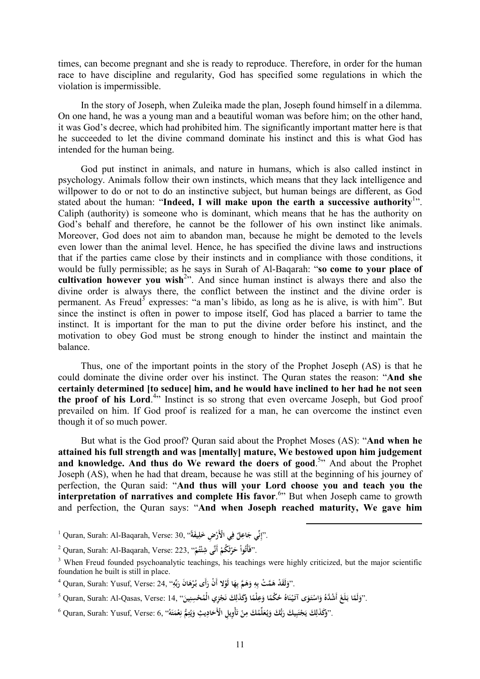times, can become pregnant and she is ready to reproduce. Therefore, in order for the human race to have discipline and regularity, God has specified some regulations in which the violation is impermissible.

In the story of Joseph, when Zuleika made the plan, Joseph found himself in a dilemma. On one hand, he was a young man and a beautiful woman was before him; on the other hand, it was God's decree, which had prohibited him. The significantly important matter here is that he succeeded to let the divine command dominate his instinct and this is what God has intended for the human being.

God put instinct in animals, and nature in humans, which is also called instinct in psychology. Animals follow their own instincts, which means that they lack intelligence and willpower to do or not to do an instinctive subject, but human beings are different, as God stated about the human: "**Indeed, I will make upon the earth a successive authority**<sup>1</sup> ". Caliph (authority) is someone who is dominant, which means that he has the authority on God's behalf and therefore, he cannot be the follower of his own instinct like animals. Moreover, God does not aim to abandon man, because he might be demoted to the levels even lower than the animal level. Hence, he has specified the divine laws and instructions that if the parties came close by their instincts and in compliance with those conditions, it would be fully permissible; as he says in Surah of Al-Baqarah: "**so come to your place of cultivation however you wish**<sup>2</sup> ". And since human instinct is always there and also the divine order is always there, the conflict between the instinct and the divine order is permanent. As Freud<sup>3</sup> expresses: "a man's libido, as long as he is alive, is with him". But since the instinct is often in power to impose itself, God has placed a barrier to tame the instinct. It is important for the man to put the divine order before his instinct, and the motivation to obey God must be strong enough to hinder the instinct and maintain the balance.

Thus, one of the important points in the story of the Prophet Joseph (AS) is that he could dominate the divine order over his instinct. The Quran states the reason: "**And she certainly determined [to seduce] him, and he would have inclined to her had he not seen the proof of his Lord**. 4 " Instinct is so strong that even overcame Joseph, but God proof prevailed on him. If God proof is realized for a man, he can overcome the instinct even though it of so much power.

But what is the God proof? Quran said about the Prophet Moses (AS): "**And when he attained his full strength and was [mentally] mature, We bestowed upon him judgement and knowledge. And thus do We reward the doers of good**. 5 " And about the Prophet Joseph (AS), when he had that dream, because he was still at the beginning of his journey of perfection, the Quran said: "**And thus will your Lord choose you and teach you the interpretation of narratives and complete His favor.<sup>6</sup>** But when Joseph came to growth and perfection, the Quran says: "**And when Joseph reached maturity, We gave him** 

<sup>1</sup> Quran, Surah: Al-Baqarah, Verse: 30, "**ًيفةَ ِض َخل ي ْالأَر ف ٌ ل اعِ نِّي ج** ."**إ ِ ْ ِ َ ِ**

<sup>2</sup> Quran, Surah: Al-Baqarah, Verse: 223, " **ُم ت ئ أَنَّى شِ َ ُكم ر ْ ح ُوا** ."**فَأْت ْ ْ ْ ث ْ َ**

<sup>&</sup>lt;sup>3</sup> When Freud founded psychoanalytic teachings, his teachings were highly criticized, but the major scientific foundation he built is still in place.

 $^4$  Quran, Surah: Yusuf, Verse: 24, ''فِلَقَدْ هَمَّتْ بِهِ وَهَمَّ بِهَا لَوْلا أَنْ رَأَى بُرْهَانَ رَبِّهِ'' $\,$ **ِ َ ْ َ َ ِ َ ِ ِ َ**

 $^5$  Quran, Surah: Al-Qasas, Verse:  $14,$  فَكُمَّا وَعِلْمًا وَكَذَلِكَ نَجْزِي الْمُحْسِنِينَ'' . [14] Quran, Surah: Al-Qasas, Verse:  $14,$ **َ ً َ ً َ ْ َ ْ َ َ َ َ ِ**

 $^6$  Quran, Surah: Yusuf, Verse: 6, ''وَكَذَلِكَ يَجْتَبِيكَ رَبُّكَ وَيُتِمَا لِنَّاسِكَ بِالْقَادِيثِ وَيُتِمُّ نِعْمَتَهُ'' ,Quran, Surah: Yusuf, Verse: 6 **َ َ ِ ِ ي َ َ َ ت ْ ِ َ َ َ َ ِ َ ِ َ**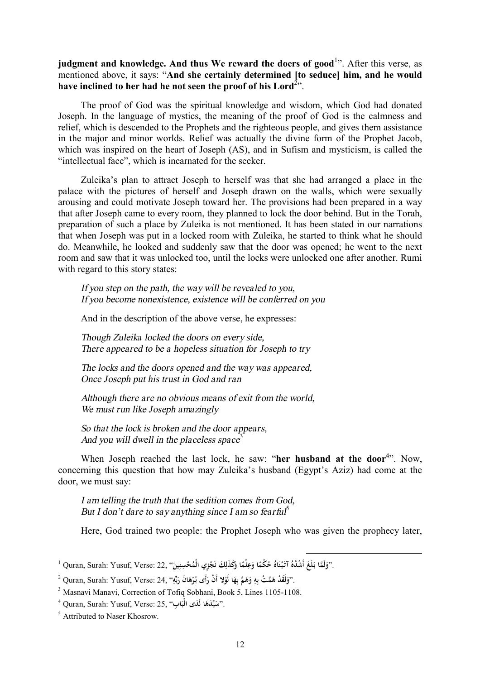**judgment and knowledge. And thus We reward the doers of good**<sup>1</sup> ". After this verse, as mentioned above, it says: "**And she certainly determined [to seduce] him, and he would have inclined to her had he not seen the proof of his Lord**<sup>2</sup> ".

The proof of God was the spiritual knowledge and wisdom, which God had donated Joseph. In the language of mystics, the meaning of the proof of God is the calmness and relief, which is descended to the Prophets and the righteous people, and gives them assistance in the major and minor worlds. Relief was actually the divine form of the Prophet Jacob, which was inspired on the heart of Joseph (AS), and in Sufism and mysticism, is called the "intellectual face", which is incarnated for the seeker.

Zuleika's plan to attract Joseph to herself was that she had arranged a place in the palace with the pictures of herself and Joseph drawn on the walls, which were sexually arousing and could motivate Joseph toward her. The provisions had been prepared in a way that after Joseph came to every room, they planned to lock the door behind. But in the Torah, preparation of such a place by Zuleika is not mentioned. It has been stated in our narrations that when Joseph was put in a locked room with Zuleika, he started to think what he should do. Meanwhile, he looked and suddenly saw that the door was opened; he went to the next room and saw that it was unlocked too, until the locks were unlocked one after another. Rumi with regard to this story states:

*If you step on the path, the way will be revealed to you, If you become nonexistence, existence will be conferred on you* 

And in the description of the above verse, he expresses:

*Though Zuleika locked the doors on every side, There appeared to be <sup>a</sup> hopeless situation for Joseph to try* 

*The locks and the doors opened and the way was appeared, Once Joseph put his trust in God and ran* 

*Although there are no obvious means of exit from the world, We must run like Joseph amazingly* 

*So that the lock is broken and the door appears, And you will dwell in the placeless space* 3

When Joseph reached the last lock, he saw: "**her husband at the door**<sup>4</sup>". Now, concerning this question that how may Zuleika's husband (Egypt's Aziz) had come at the door, we must say:

*I am telling the truth that the sedition comes from God, But I don't dare to say anything since I am so fearful* 5

Here, God trained two people: the Prophet Joseph who was given the prophecy later,

l

 $^1$  Quran, Surah: Yusuf, Verse: 22, فَلَمَّا وَكَذَلِكَ نَجْزِي الْمُحْسِنِينَ") (21 Quran, Surah: Yusuf, Verse:  $22,$ **َ ً َ ً َ ْ َ َ َ َ ِ**

 $^2$  Quran, Surah: Yusuf, Verse: 24, ''وَلَقَدْ هَمَّتْ بِهِ وَهَمَّ بِهَا لَوْلا أَنْ رَأَى بُرْهَانَ رَبِّهِ'' ، **ِ َ ْ َ َ ِ َ ِ ِ َ**

<sup>3</sup> Masnavi Manavi, Correction of Tofiq Sobhani, Book 5, Lines 1105-1108.

 $^4$  Quran, Surah: Yusuf, Verse: 25, ''سُيِّلَدَهَا لَمَدَى الْبَابِ''.<br>-**َ**

<sup>5</sup> Attributed to Naser Khosrow.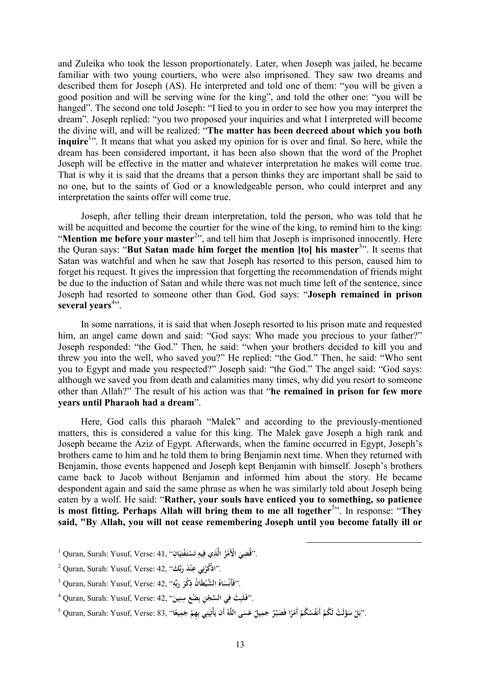and Zuleika who took the lesson proportionately. Later, when Joseph was jailed, he became familiar with two young courtiers, who were also imprisoned. They saw two dreams and described them for Joseph (AS). He interpreted and told one of them: "you will be given a good position and will be serving wine for the king", and told the other one: "you will be hanged". The second one told Joseph: "I lied to you in order to see how you may interpret the dream". Joseph replied: "you two proposed your inquiries and what I interpreted will become the divine will, and will be realized: "**The matter has been decreed about which you both inquire**<sup>1</sup>". It means that what you asked my opinion for is over and final. So here, while the dream has been considered important, it has been also shown that the word of the Prophet Joseph will be effective in the matter and whatever interpretation he makes will come true. That is why it is said that the dreams that a person thinks they are important shall be said to no one, but to the saints of God or a knowledgeable person, who could interpret and any interpretation the saints offer will come true.

Joseph, after telling their dream interpretation, told the person, who was told that he will be acquitted and become the courtier for the wine of the king, to remind him to the king: "Mention me before your master<sup>2</sup>", and tell him that Joseph is imprisoned innocently. Here the Quran says: "**But Satan made him forget the mention [to] his master**<sup>3</sup> ". It seems that Satan was watchful and when he saw that Joseph has resorted to this person, caused him to forget his request. It gives the impression that forgetting the recommendation of friends might be due to the induction of Satan and while there was not much time left of the sentence, since Joseph had resorted to someone other than God, God says: "**Joseph remained in prison**  several years<sup>4</sup>".

In some narrations, it is said that when Joseph resorted to his prison mate and requested him, an angel came down and said: "God says: Who made you precious to your father?" Joseph responded: "the God." Then, he said: "when your brothers decided to kill you and threw you into the well, who saved you?" He replied: "the God." Then, he said: "Who sent you to Egypt and made you respected?" Joseph said: "the God." The angel said: "God says: although we saved you from death and calamities many times, why did you resort to someone other than Allah?" The result of his action was that "**he remained in prison for few more years until Pharaoh had a dream**".

Here, God calls this pharaoh "Malek" and according to the previously-mentioned matters, this is considered a value for this king. The Malek gave Joseph a high rank and Joseph became the Aziz of Egypt. Afterwards, when the famine occurred in Egypt, Joseph's brothers came to him and he told them to bring Benjamin next time. When they returned with Benjamin, those events happened and Joseph kept Benjamin with himself. Joseph's brothers came back to Jacob without Benjamin and informed him about the story. He became despondent again and said the same phrase as when he was similarly told about Joseph being eaten by a wolf. He said: "**Rather, your souls have enticed you to something, so patience is most fitting. Perhaps Allah will bring them to me all together**<sup>5</sup> ". In response: "**They said, "By Allah, you will not cease remembering Joseph until you become fatally ill or** 

 $^1$  Quran, Surah: Yusuf, Verse: 41, ''فِيَّفِتِيَانِ''. **َ ِ َ ْ ت ِ َ**

<sup>2</sup> Quran, Surah: Yusuf, Verse: 42, "**كَ بِّ ْ َد ر ن ي عِ** ."**اذُْكر َ ِ ن ْ**

<sup>3</sup> Quran, Surah: Yusuf, Verse: 42, " **َطْ ال َّشي ُ اه ْس فَأَن بِّه ر ْكر** ." **ُ ان ذِ َ ِ َ َ**

 $^4$  Quran, Surah: Yusuf, Verse: 42, "بِفَلَبِثَ فِي السَّجْنِ بِضْعَ سِنِينَ". **َ ِ ِ ِ**

 $^5$  Quran, Surah: Yusuf, Verse: 83, ''فَيَاتِيَنِي بِهِمْ جَمِيعًا'' ,Quran, Surah: Yusuf, Verse: 83 كَمْ أَنفُسُكُمْ أَمْرًا فَصَبْرٌ جَمِيلٌ عَسَى اللَّهُ أَن يَأْتِيَنِي بِهِمْ جَمِيعًا'' , **ً َ ِ با ً ْ ْ َ**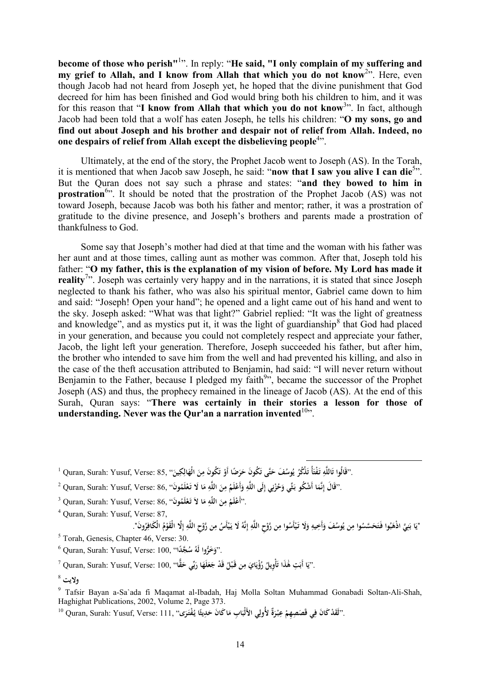**become of those who perish"**<sup>1</sup> ". In reply: "**He said, "I only complain of my suffering and my grief to Allah, and I know from Allah that which you do not know**<sup>2</sup> ". Here, even though Jacob had not heard from Joseph yet, he hoped that the divine punishment that God decreed for him has been finished and God would bring both his children to him, and it was for this reason that "**I know from Allah that which you do not know**<sup>3</sup> ". In fact, although Jacob had been told that a wolf has eaten Joseph, he tells his children: "**O my sons, go and find out about Joseph and his brother and despair not of relief from Allah. Indeed, no one despairs of relief from Allah except the disbelieving people**<sup>4</sup> ".

Ultimately, at the end of the story, the Prophet Jacob went to Joseph (AS). In the Torah, it is mentioned that when Jacob saw Joseph, he said: "**now that I saw you alive I can die**<sup>5</sup> ". But the Quran does not say such a phrase and states: "**and they bowed to him in prostration**<sup>6</sup>. It should be noted that the prostration of the Prophet Jacob (AS) was not toward Joseph, because Jacob was both his father and mentor; rather, it was a prostration of gratitude to the divine presence, and Joseph's brothers and parents made a prostration of thankfulness to God.

Some say that Joseph's mother had died at that time and the woman with his father was her aunt and at those times, calling aunt as mother was common. After that, Joseph told his father: "**O my father, this is the explanation of my vision of before. My Lord has made it**  reality<sup>7</sup><sup>2</sup>. Joseph was certainly very happy and in the narrations, it is stated that since Joseph neglected to thank his father, who was also his spiritual mentor, Gabriel came down to him and said: "Joseph! Open your hand"; he opened and a light came out of his hand and went to the sky. Joseph asked: "What was that light?" Gabriel replied: "It was the light of greatness and knowledge", and as mystics put it, it was the light of guardianship $^8$  that God had placed in your generation, and because you could not completely respect and appreciate your father, Jacob, the light left your generation. Therefore, Joseph succeeded his father, but after him, the brother who intended to save him from the well and had prevented his killing, and also in the case of the theft accusation attributed to Benjamin, had said: "I will never return without Benjamin to the Father, because I pledged my faith $9$ , became the successor of the Prophet Joseph (AS) and thus, the prophecy remained in the lineage of Jacob (AS). At the end of this Surah, Quran says: "**There was certainly in their stories a lesson for those of understanding. Never was the Our'an a narration invented**  $10$ **.** 

 $^1$  Quran, Surah: Yusuf, Verse: 85, فَالُوا تَاللَّهِ تَفْتَأُ تَذْكُرُ يُوسُفَ حَتَّى تَكُونَ حَرَضًا أَوْ تَكُونَ مِنَ الْهَالِكِينَ'' .25 Quran, Surah: Yusuf, Verse: 85 **َ ِ َ َ ِ ت ْ َ َ َ ي َ َ َ**

 $^2$  Quran, Surah: Yusuf, Verse: 86, ''فَالَ بِانَّمَا أَشْكُو بَثِّي وَحُزْنِي إِلَى اللَّهِ وَأَعْلَمُ مِنَ اللَّهِ مَا لَا تَعْلَمُونَ'' ,Quran, Surah: Yusuf, Verse: 86 **ْ َ ِ َ ِ َ ِ ِ** <u>:</u> **ن ْ َ َ ِ**

 $^3$  Quran, Surah: Yusuf, Verse: 86, ''أَعْلَمُ مِنَ اللَّهِ مَا لاَ تَعْلَمُونَ''. **ْ َ ِ َ ِ**

<sup>4</sup> Quran, Surah: Yusuf, Verse: 87,

"يَا بَنِيَّ اذْهَبُوا فَتَحَسَّسُوا مِن يُوسُفَ وَأَخِيهِ وَلَا تَيْأَسُوا مِن رَّوْحِ اللَّهِ إِنَّهُ لَا يَيْأَسُ مِن رَّوْحِ اللَّهِ إِلَّا الْقَوْمُ الْكَافِرُونَ". **ْ ِ ْ َ ِ إ ِ ْ ِ ْ َ َ ِ َ ِ َ ِ َ َ إ ِ ِ ْ**

 $\overline{a}$ 

 $<sup>5</sup>$  Torah, Genesis, Chapter 46, Verse: 30.</sup>

<sup>6</sup> Quran, Surah: Yusuf, Verse: 100, "**داً َّج ُ ُ س َ َخُّروا لَه** ."**و**

 $^7$  Quran, Surah: Yusuf, Verse: 100, ''فَّا جَعَلَهَا رَبِّي حَقًّا'' Quran, Surah: Yusuf, Verse: 100, '' **َ َ َ َ َ ِ َ َ َ ٰ َ َ َ**

**ولايت** <sup>8</sup>

<sup>9</sup> Tafsir Bayan a-Sa`ada fi Maqamat al-Ibadah, Haj Molla Soltan Muhammad Gonabadi Soltan-Ali-Shah, Haghighat Publications, 2002, Volume 2, Page 373.

.''لَقَدْكَانَ فِي قَصَصِهِمْ عِبْرَةٌ لأُولِي الأَلْبَابِ مَاكَانَ حَدِيثًا يُفْتَرَى'' ,Quran, Surah: Yusuf, Verse: 111 ( **ً َ َ ِ َ ْ َ**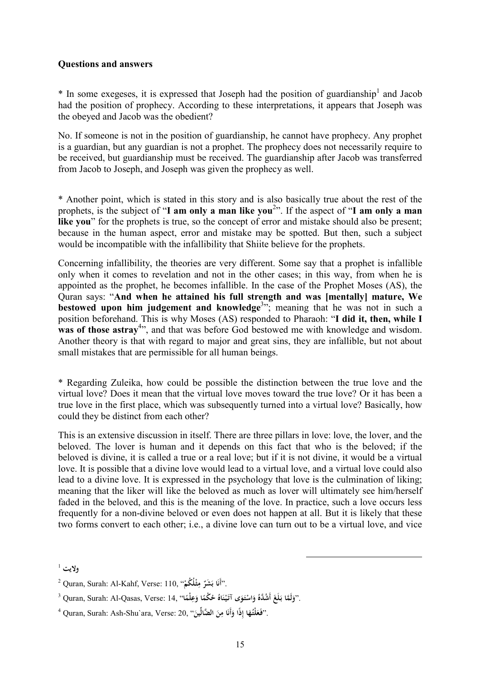## **Questions and answers**

 $*$  In some exegeses, it is expressed that Joseph had the position of guardianship<sup>1</sup> and Jacob had the position of prophecy. According to these interpretations, it appears that Joseph was the obeyed and Jacob was the obedient?

No. If someone is not in the position of guardianship, he cannot have prophecy. Any prophet is a guardian, but any guardian is not a prophet. The prophecy does not necessarily require to be received, but guardianship must be received. The guardianship after Jacob was transferred from Jacob to Joseph, and Joseph was given the prophecy as well.

\* Another point, which is stated in this story and is also basically true about the rest of the prophets, is the subject of "**I am only a man like you**<sup>2</sup> ". If the aspect of "**I am only a man like you**" for the prophets is true, so the concept of error and mistake should also be present; because in the human aspect, error and mistake may be spotted. But then, such a subject would be incompatible with the infallibility that Shiite believe for the prophets.

Concerning infallibility, the theories are very different. Some say that a prophet is infallible only when it comes to revelation and not in the other cases; in this way, from when he is appointed as the prophet, he becomes infallible. In the case of the Prophet Moses (AS), the Quran says: "**And when he attained his full strength and was [mentally] mature, We bestowed upon him judgement and knowledge**<sup>3</sup> "; meaning that he was not in such a position beforehand. This is why Moses (AS) responded to Pharaoh: "**I did it, then, while I was of those astray<sup>4</sup>**, and that was before God bestowed me with knowledge and wisdom. Another theory is that with regard to major and great sins, they are infallible, but not about small mistakes that are permissible for all human beings.

\* Regarding Zuleika, how could be possible the distinction between the true love and the virtual love? Does it mean that the virtual love moves toward the true love? Or it has been a true love in the first place, which was subsequently turned into a virtual love? Basically, how could they be distinct from each other?

This is an extensive discussion in itself. There are three pillars in love: love, the lover, and the beloved. The lover is human and it depends on this fact that who is the beloved; if the beloved is divine, it is called a true or a real love; but if it is not divine, it would be a virtual love. It is possible that a divine love would lead to a virtual love, and a virtual love could also lead to a divine love. It is expressed in the psychology that love is the culmination of liking; meaning that the liker will like the beloved as much as lover will ultimately see him/herself faded in the beloved, and this is the meaning of the love. In practice, such a love occurs less frequently for a non-divine beloved or even does not happen at all. But it is likely that these two forms convert to each other; i.e., a divine love can turn out to be a virtual love, and vice

**ولايت** <sup>1</sup>

<sup>2</sup> Quran, Surah: Al-Kahf, Verse: 110, " **ْلُ ُكم ثـ م ٌ َ َشر ا ب** ."**أَن ْ ِ ُ** 

 $^3$  Quran, Surah: Al-Qasas, Verse: 14, ''وَلَمَّا وَعِلْمَا)' . ''وَلَمَّا بَلَغَ أَشُدَّهُ وَاسْتَوَى آتَيْنَاهُ خُكْمًا وَعِلْمًا $\cdot$ **ً َ ً َ ْ َ ْ َ َ َ**

<sup>4</sup> Quran, Surah: Ash-Shu`ara, Verse: 20, " **ِّين ال َّضال ن ا م أَن ِذًا و ا إ ُه لْتـ** ." **َفـعَ َ ِ ُ َ َ َ**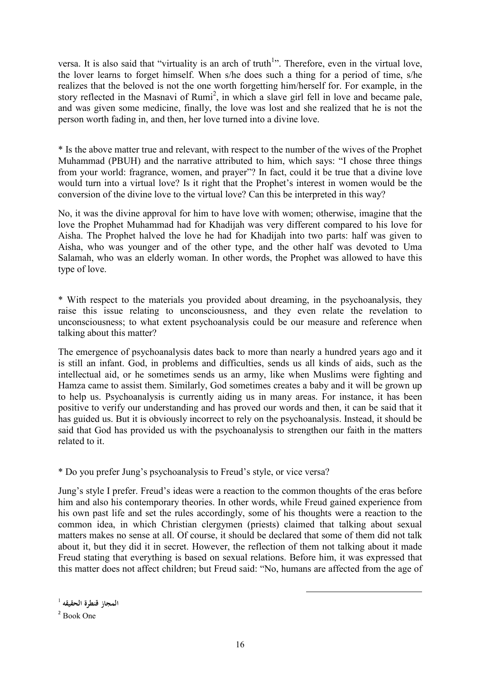versa. It is also said that "virtuality is an arch of truth<sup>1</sup>". Therefore, even in the virtual love, the lover learns to forget himself. When s/he does such a thing for a period of time, s/he realizes that the beloved is not the one worth forgetting him/herself for. For example, in the story reflected in the Masnavi of  $Rum<sup>2</sup>$ , in which a slave girl fell in love and became pale, and was given some medicine, finally, the love was lost and she realized that he is not the person worth fading in, and then, her love turned into a divine love.

\* Is the above matter true and relevant, with respect to the number of the wives of the Prophet Muhammad (PBUH) and the narrative attributed to him, which says: "I chose three things from your world: fragrance, women, and prayer"? In fact, could it be true that a divine love would turn into a virtual love? Is it right that the Prophet's interest in women would be the conversion of the divine love to the virtual love? Can this be interpreted in this way?

No, it was the divine approval for him to have love with women; otherwise, imagine that the love the Prophet Muhammad had for Khadijah was very different compared to his love for Aisha. The Prophet halved the love he had for Khadijah into two parts: half was given to Aisha, who was younger and of the other type, and the other half was devoted to Uma Salamah, who was an elderly woman. In other words, the Prophet was allowed to have this type of love.

\* With respect to the materials you provided about dreaming, in the psychoanalysis, they raise this issue relating to unconsciousness, and they even relate the revelation to unconsciousness; to what extent psychoanalysis could be our measure and reference when talking about this matter?

The emergence of psychoanalysis dates back to more than nearly a hundred years ago and it is still an infant. God, in problems and difficulties, sends us all kinds of aids, such as the intellectual aid, or he sometimes sends us an army, like when Muslims were fighting and Hamza came to assist them. Similarly, God sometimes creates a baby and it will be grown up to help us. Psychoanalysis is currently aiding us in many areas. For instance, it has been positive to verify our understanding and has proved our words and then, it can be said that it has guided us. But it is obviously incorrect to rely on the psychoanalysis. Instead, it should be said that God has provided us with the psychoanalysis to strengthen our faith in the matters related to it.

\* Do you prefer Jung's psychoanalysis to Freud's style, or vice versa?

Jung's style I prefer. Freud's ideas were a reaction to the common thoughts of the eras before him and also his contemporary theories. In other words, while Freud gained experience from his own past life and set the rules accordingly, some of his thoughts were a reaction to the common idea, in which Christian clergymen (priests) claimed that talking about sexual matters makes no sense at all. Of course, it should be declared that some of them did not talk about it, but they did it in secret. However, the reflection of them not talking about it made Freud stating that everything is based on sexual relations. Before him, it was expressed that this matter does not affect children; but Freud said: "No, humans are affected from the age of

<sup>1</sup> **المجاز قنطرة الحقيقه**

<sup>2</sup> Book One